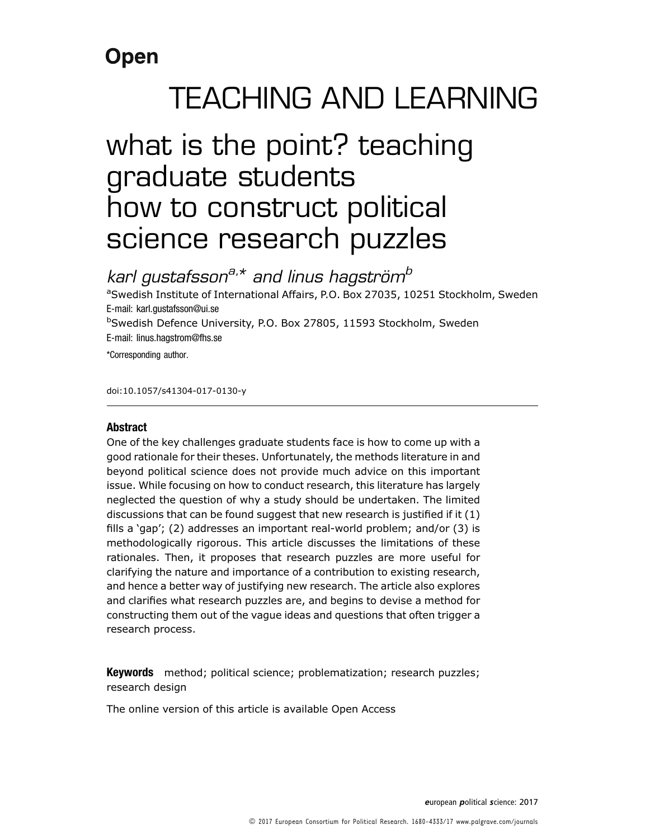Open

# TEACHING AND LEARNING

# what is the point? teaching graduate students how to construct political science research puzzles

# karl gustafsson $a^*$  and linus hagström $^b$

<sup>a</sup>Swedish Institute of International Affairs, P.O. Box 27035, 10251 Stockholm, Sweden E-mail: karl.gustafsson@ui.se b Swedish Defence University, P.O. Box 27805, 11593 Stockholm, Sweden E-mail: linus.hagstrom@fhs.se

\*Corresponding author.

doi:10.1057/s41304-017-0130-y

### Abstract

One of the key challenges graduate students face is how to come up with a good rationale for their theses. Unfortunately, the methods literature in and beyond political science does not provide much advice on this important issue. While focusing on how to conduct research, this literature has largely neglected the question of why a study should be undertaken. The limited discussions that can be found suggest that new research is justified if it  $(1)$ fills a 'gap'; (2) addresses an important real-world problem; and/or (3) is methodologically rigorous. This article discusses the limitations of these rationales. Then, it proposes that research puzzles are more useful for clarifying the nature and importance of a contribution to existing research, and hence a better way of justifying new research. The article also explores and clarifies what research puzzles are, and begins to devise a method for constructing them out of the vague ideas and questions that often trigger a research process.

Keywords method; political science; problematization; research puzzles; research design

The online version of this article is available Open Access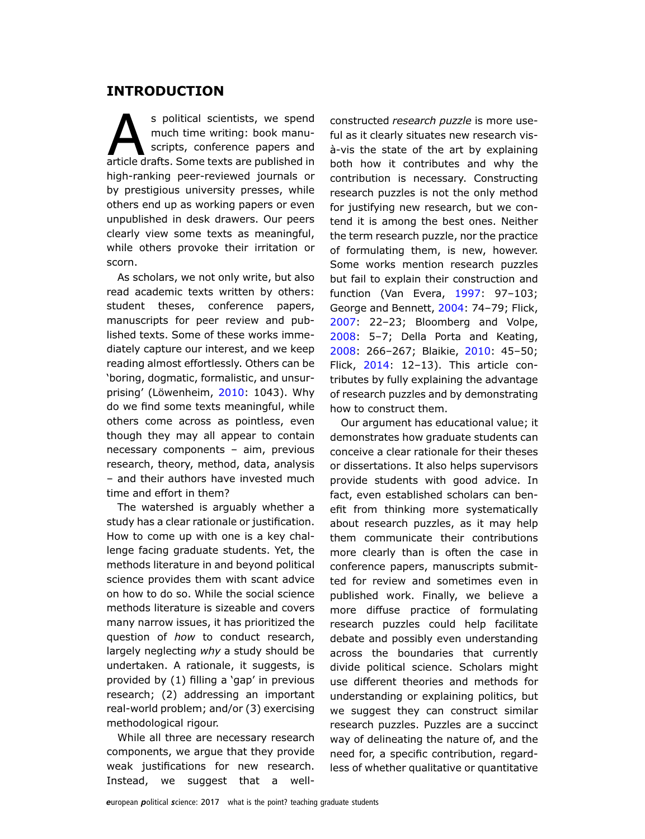### INTRODUCTION

s political scientists, we spend<br>much time writing: book manu-<br>scripts, conference papers and<br>article drafts. Some texts are published in much time writing: book manuscripts, conference papers and high-ranking peer-reviewed journals or by prestigious university presses, while others end up as working papers or even unpublished in desk drawers. Our peers clearly view some texts as meaningful, while others provoke their irritation or scorn.

As scholars, we not only write, but also read academic texts written by others: student theses, conference papers, manuscripts for peer review and published texts. Some of these works immediately capture our interest, and we keep reading almost effortlessly. Others can be 'boring, dogmatic, formalistic, and unsur-prising' (Löwenheim, [2010](#page-13-0): 1043). Why do we find some texts meaningful, while others come across as pointless, even though they may all appear to contain necessary components – aim, previous research, theory, method, data, analysis – and their authors have invested much time and effort in them?

The watershed is arguably whether a study has a clear rationale or justification. How to come up with one is a key challenge facing graduate students. Yet, the methods literature in and beyond political science provides them with scant advice on how to do so. While the social science methods literature is sizeable and covers many narrow issues, it has prioritized the question of how to conduct research, largely neglecting why a study should be undertaken. A rationale, it suggests, is provided by (1) filling a 'gap' in previous research; (2) addressing an important real-world problem; and/or (3) exercising methodological rigour.

While all three are necessary research components, we argue that they provide weak justifications for new research. Instead, we suggest that a wellconstructed research puzzle is more useful as it clearly situates new research vis-  $\dot{a}$ -vis the state of the art by explaining both how it contributes and why the contribution is necessary. Constructing research puzzles is not the only method for justifying new research, but we contend it is among the best ones. Neither the term research puzzle, nor the practice of formulating them, is new, however. Some works mention research puzzles but fail to explain their construction and function (Van Evera, [1997](#page-13-0): 97–103; George and Bennett, [2004:](#page-12-0) 74–79; Flick, [2007:](#page-12-0) 22–23; Bloomberg and Volpe, [2008:](#page-12-0) 5–7; Della Porta and Keating, [2008:](#page-12-0) 266–267; Blaikie, [2010:](#page-12-0) 45–50; Flick, [2014:](#page-12-0) 12–13). This article contributes by fully explaining the advantage of research puzzles and by demonstrating how to construct them.

Our argument has educational value; it demonstrates how graduate students can conceive a clear rationale for their theses or dissertations. It also helps supervisors provide students with good advice. In fact, even established scholars can benefit from thinking more systematically about research puzzles, as it may help them communicate their contributions more clearly than is often the case in conference papers, manuscripts submitted for review and sometimes even in published work. Finally, we believe a more diffuse practice of formulating research puzzles could help facilitate debate and possibly even understanding across the boundaries that currently divide political science. Scholars might use different theories and methods for understanding or explaining politics, but we suggest they can construct similar research puzzles. Puzzles are a succinct way of delineating the nature of, and the need for, a specific contribution, regardless of whether qualitative or quantitative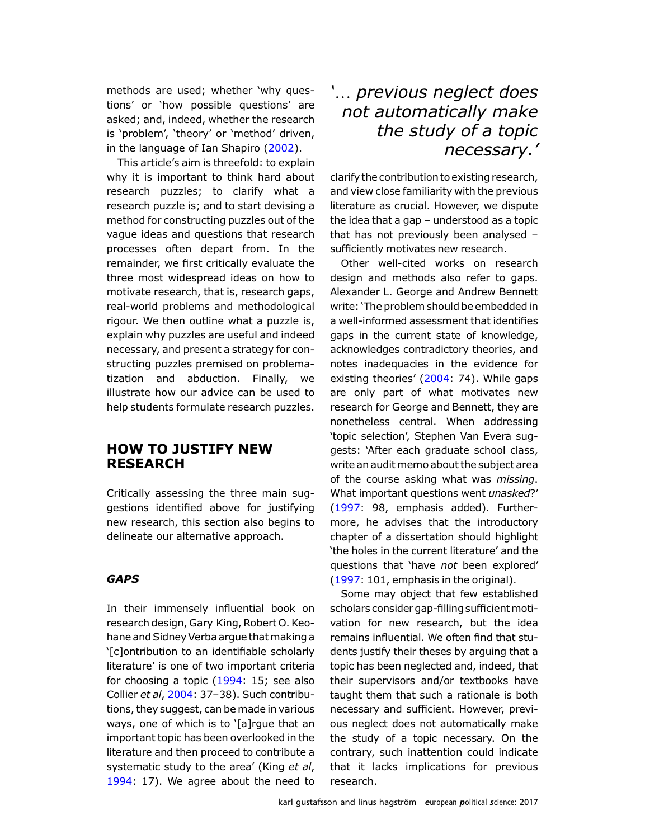methods are used; whether 'why questions' or 'how possible questions' are asked; and, indeed, whether the research is 'problem', 'theory' or 'method' driven, in the language of Ian Shapiro ([2002](#page-13-0)).

This article's aim is threefold: to explain why it is important to think hard about research puzzles; to clarify what a research puzzle is; and to start devising a method for constructing puzzles out of the vague ideas and questions that research processes often depart from. In the remainder, we first critically evaluate the three most widespread ideas on how to motivate research, that is, research gaps, real-world problems and methodological rigour. We then outline what a puzzle is, explain why puzzles are useful and indeed necessary, and present a strategy for constructing puzzles premised on problematization and abduction. Finally, we illustrate how our advice can be used to help students formulate research puzzles.

### HOW TO JUSTIFY NEW RESEARCH

Critically assessing the three main suggestions identified above for justifying new research, this section also begins to delineate our alternative approach.

### **GAPS**

In their immensely influential book on research design, Gary King, Robert O. Keohane and Sidney Verba argue that making a '[c]ontribution to an identifiable scholarly literature' is one of two important criteria for choosing a topic  $(1994: 15)$  $(1994: 15)$ ; see also Collier et al, [2004](#page-12-0): 37–38). Such contributions, they suggest, can be made in various ways, one of which is to '[a]rgue that an important topic has been overlooked in the literature and then proceed to contribute a systematic study to the area' (King et al, [1994:](#page-13-0) 17). We agree about the need to

# '… previous neglect does not automatically make the study of a topic necessary.'

clarify the contribution to existing research, and view close familiarity with the previous literature as crucial. However, we dispute the idea that a gap – understood as a topic that has not previously been analysed – sufficiently motivates new research.

Other well-cited works on research design and methods also refer to gaps. Alexander L. George and Andrew Bennett write: 'The problem should be embedded in a well-informed assessment that identifies gaps in the current state of knowledge, acknowledges contradictory theories, and notes inadequacies in the evidence for existing theories' [\(2004](#page-12-0): 74). While gaps are only part of what motivates new research for George and Bennett, they are nonetheless central. When addressing 'topic selection', Stephen Van Evera suggests: 'After each graduate school class, write an audit memo about the subject area of the course asking what was missing. What important questions went unasked?' [\(1997](#page-13-0): 98, emphasis added). Furthermore, he advises that the introductory chapter of a dissertation should highlight 'the holes in the current literature' and the questions that 'have not been explored' [\(1997](#page-13-0): 101, emphasis in the original).

Some may object that few established scholars consider gap-filling sufficient motivation for new research, but the idea remains influential. We often find that students justify their theses by arguing that a topic has been neglected and, indeed, that their supervisors and/or textbooks have taught them that such a rationale is both necessary and sufficient. However, previous neglect does not automatically make the study of a topic necessary. On the contrary, such inattention could indicate that it lacks implications for previous research.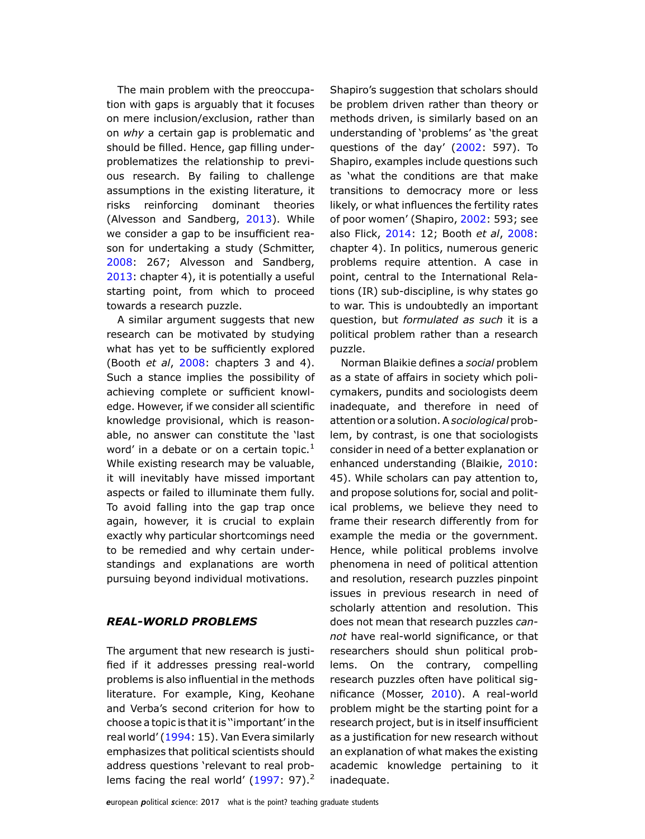The main problem with the preoccupation with gaps is arguably that it focuses on mere inclusion/exclusion, rather than on why a certain gap is problematic and should be filled. Hence, gap filling underproblematizes the relationship to previous research. By failing to challenge assumptions in the existing literature, it risks reinforcing dominant theories (Alvesson and Sandberg, [2013](#page-12-0)). While we consider a gap to be insufficient reason for undertaking a study (Schmitter, [2008](#page-13-0): 267; Alvesson and Sandberg, [2013](#page-12-0): chapter 4), it is potentially a useful starting point, from which to proceed towards a research puzzle.

A similar argument suggests that new research can be motivated by studying what has yet to be sufficiently explored (Booth et al, [2008](#page-12-0): chapters 3 and 4). Such a stance implies the possibility of achieving complete or sufficient knowledge. However, if we consider all scientific knowledge provisional, which is reasonable, no answer can constitute the 'last word' in a debate or on a certain topic. $<sup>1</sup>$ </sup> While existing research may be valuable, it will inevitably have missed important aspects or failed to illuminate them fully. To avoid falling into the gap trap once again, however, it is crucial to explain exactly why particular shortcomings need to be remedied and why certain understandings and explanations are worth pursuing beyond individual motivations.

### REAL-WORLD PROBLEMS

The argument that new research is justified if it addresses pressing real-world problems is also influential in the methods literature. For example, King, Keohane and Verba's second criterion for how to choose a topic is that it is ''important' in the real world' ([1994](#page-13-0): 15). Van Evera similarly emphasizes that political scientists should address questions 'relevant to real problems facing the real world'  $(1997:97).<sup>2</sup>$  $(1997:97).<sup>2</sup>$  $(1997:97).<sup>2</sup>$ 

Shapiro's suggestion that scholars should be problem driven rather than theory or methods driven, is similarly based on an understanding of 'problems' as 'the great questions of the day' ([2002](#page-13-0): 597). To Shapiro, examples include questions such as 'what the conditions are that make transitions to democracy more or less likely, or what influences the fertility rates of poor women' (Shapiro, [2002](#page-13-0): 593; see also Flick, [2014:](#page-12-0) 12; Booth et al, [2008](#page-12-0): chapter 4). In politics, numerous generic problems require attention. A case in point, central to the International Relations (IR) sub-discipline, is why states go to war. This is undoubtedly an important question, but formulated as such it is a political problem rather than a research puzzle.

Norman Blaikie defines a social problem as a state of affairs in society which policymakers, pundits and sociologists deem inadequate, and therefore in need of attention or a solution. A sociological problem, by contrast, is one that sociologists consider in need of a better explanation or enhanced understanding (Blaikie, [2010](#page-12-0): 45). While scholars can pay attention to, and propose solutions for, social and political problems, we believe they need to frame their research differently from for example the media or the government. Hence, while political problems involve phenomena in need of political attention and resolution, research puzzles pinpoint issues in previous research in need of scholarly attention and resolution. This does not mean that research puzzles cannot have real-world significance, or that researchers should shun political problems. On the contrary, compelling research puzzles often have political significance (Mosser, [2010\)](#page-13-0). A real-world problem might be the starting point for a research project, but is in itself insufficient as a justification for new research without an explanation of what makes the existing academic knowledge pertaining to it inadequate.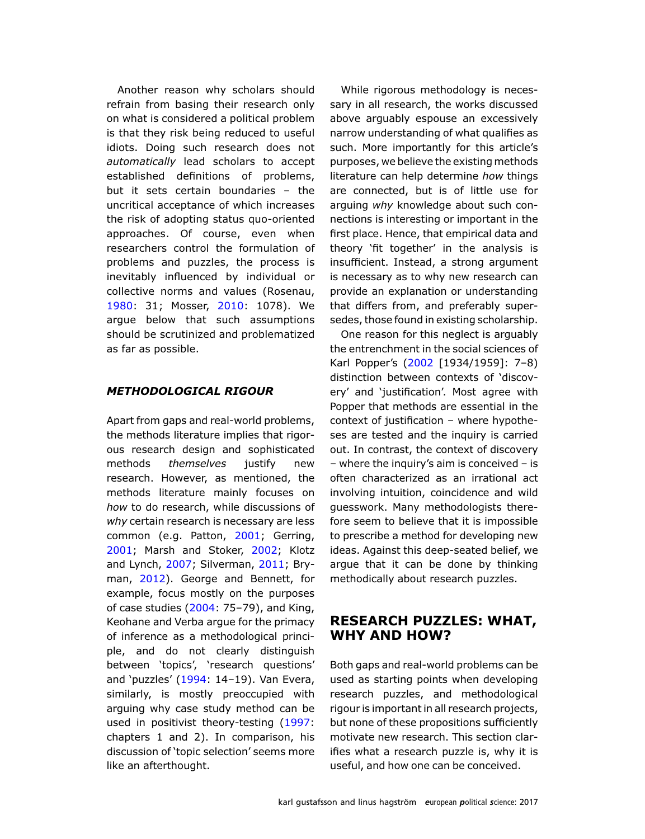Another reason why scholars should refrain from basing their research only on what is considered a political problem is that they risk being reduced to useful idiots. Doing such research does not automatically lead scholars to accept established definitions of problems, but it sets certain boundaries – the uncritical acceptance of which increases the risk of adopting status quo-oriented approaches. Of course, even when researchers control the formulation of problems and puzzles, the process is inevitably influenced by individual or collective norms and values (Rosenau, [1980](#page-13-0): 31; Mosser, [2010:](#page-13-0) 1078). We argue below that such assumptions should be scrutinized and problematized as far as possible.

### METHODOLOGICAL RIGOUR

Apart from gaps and real-world problems, the methods literature implies that rigorous research design and sophisticated methods themselves justify new research. However, as mentioned, the methods literature mainly focuses on how to do research, while discussions of why certain research is necessary are less common (e.g. Patton, [2001;](#page-13-0) Gerring, [2001](#page-12-0); Marsh and Stoker, [2002;](#page-13-0) Klotz and Lynch, [2007](#page-13-0); Silverman, [2011;](#page-13-0) Bryman, [2012\)](#page-12-0). George and Bennett, for example, focus mostly on the purposes of case studies [\(2004:](#page-12-0) 75–79), and King, Keohane and Verba argue for the primacy of inference as a methodological principle, and do not clearly distinguish between 'topics', 'research questions' and 'puzzles' [\(1994:](#page-13-0) 14–19). Van Evera, similarly, is mostly preoccupied with arguing why case study method can be used in positivist theory-testing [\(1997:](#page-13-0) chapters 1 and 2). In comparison, his discussion of 'topic selection' seems more like an afterthought.

While rigorous methodology is necessary in all research, the works discussed above arguably espouse an excessively narrow understanding of what qualifies as such. More importantly for this article's purposes, we believe the existing methods literature can help determine how things are connected, but is of little use for arguing why knowledge about such connections is interesting or important in the first place. Hence, that empirical data and theory 'fit together' in the analysis is insufficient. Instead, a strong argument is necessary as to why new research can provide an explanation or understanding that differs from, and preferably supersedes, those found in existing scholarship.

One reason for this neglect is arguably the entrenchment in the social sciences of Karl Popper's ([2002](#page-13-0) [1934/1959]: 7–8) distinction between contexts of 'discovery' and 'justification'. Most agree with Popper that methods are essential in the context of justification – where hypotheses are tested and the inquiry is carried out. In contrast, the context of discovery – where the inquiry's aim is conceived – is often characterized as an irrational act involving intuition, coincidence and wild guesswork. Many methodologists therefore seem to believe that it is impossible to prescribe a method for developing new ideas. Against this deep-seated belief, we argue that it can be done by thinking methodically about research puzzles.

## RESEARCH PUZZLES: WHAT, WHY AND HOW?

Both gaps and real-world problems can be used as starting points when developing research puzzles, and methodological rigour is important in all research projects, but none of these propositions sufficiently motivate new research. This section clarifies what a research puzzle is, why it is useful, and how one can be conceived.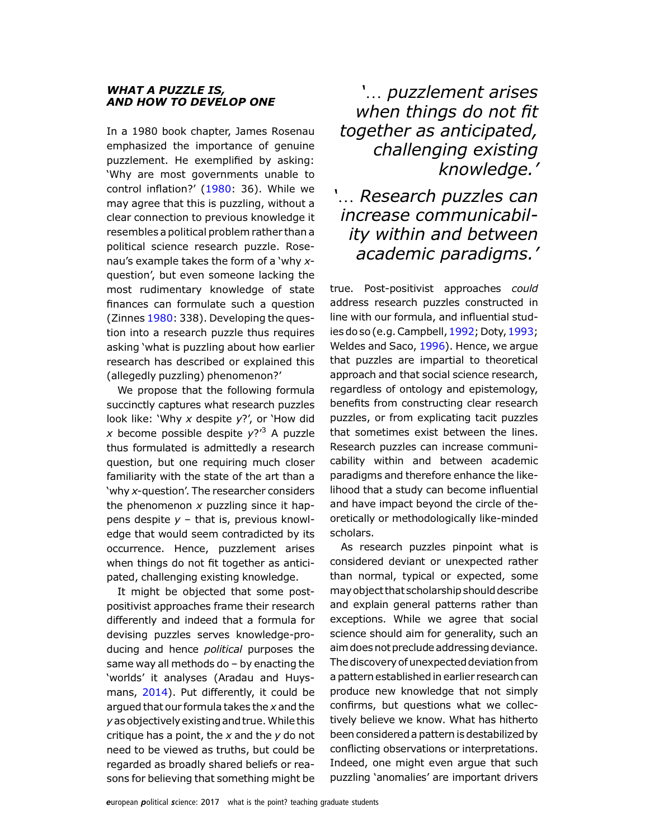### WHAT A PUZZLE IS, AND HOW TO DEVELOP ONE

In a 1980 book chapter, James Rosenau emphasized the importance of genuine puzzlement. He exemplified by asking: 'Why are most governments unable to control inflation?' ([1980](#page-13-0): 36). While we may agree that this is puzzling, without a clear connection to previous knowledge it resembles a political problem rather than a political science research puzzle. Rosenau's example takes the form of a 'why xquestion', but even someone lacking the most rudimentary knowledge of state finances can formulate such a question (Zinnes [1980:](#page-13-0) 338). Developing the question into a research puzzle thus requires asking 'what is puzzling about how earlier research has described or explained this (allegedly puzzling) phenomenon?'

We propose that the following formula succinctly captures what research puzzles look like: 'Why x despite y?', or 'How did x become possible despite  $y$ ?<sup>3</sup> A puzzle thus formulated is admittedly a research question, but one requiring much closer familiarity with the state of the art than a 'why x-question'. The researcher considers the phenomenon  $x$  puzzling since it happens despite  $y$  – that is, previous knowledge that would seem contradicted by its occurrence. Hence, puzzlement arises when things do not fit together as anticipated, challenging existing knowledge.

It might be objected that some postpositivist approaches frame their research differently and indeed that a formula for devising puzzles serves knowledge-producing and hence political purposes the same way all methods do – by enacting the 'worlds' it analyses (Aradau and Huysmans, [2014](#page-12-0)). Put differently, it could be argued that our formula takes the  $x$  and the yas objectively existing and true.While this critique has a point, the  $x$  and the  $y$  do not need to be viewed as truths, but could be regarded as broadly shared beliefs or reasons for believing that something might be

'… puzzlement arises when things do not fit together as anticipated, challenging existing knowledge.'

# '… Research puzzles can increase communicability within and between academic paradigms.'

true. Post-positivist approaches could address research puzzles constructed in line with our formula, and influential stud-ies do so (e.g. Campbell, [1992](#page-12-0); Doty, [1993](#page-12-0); Weldes and Saco, [1996\)](#page-13-0). Hence, we argue that puzzles are impartial to theoretical approach and that social science research, regardless of ontology and epistemology, benefits from constructing clear research puzzles, or from explicating tacit puzzles that sometimes exist between the lines. Research puzzles can increase communicability within and between academic paradigms and therefore enhance the likelihood that a study can become influential and have impact beyond the circle of theoretically or methodologically like-minded scholars.

As research puzzles pinpoint what is considered deviant or unexpected rather than normal, typical or expected, some may object that scholarship should describe and explain general patterns rather than exceptions. While we agree that social science should aim for generality, such an aim does not preclude addressing deviance. The discovery of unexpected deviation from a pattern established in earlier research can produce new knowledge that not simply confirms, but questions what we collectively believe we know. What has hitherto been considered a pattern is destabilized by conflicting observations or interpretations. Indeed, one might even argue that such puzzling 'anomalies' are important drivers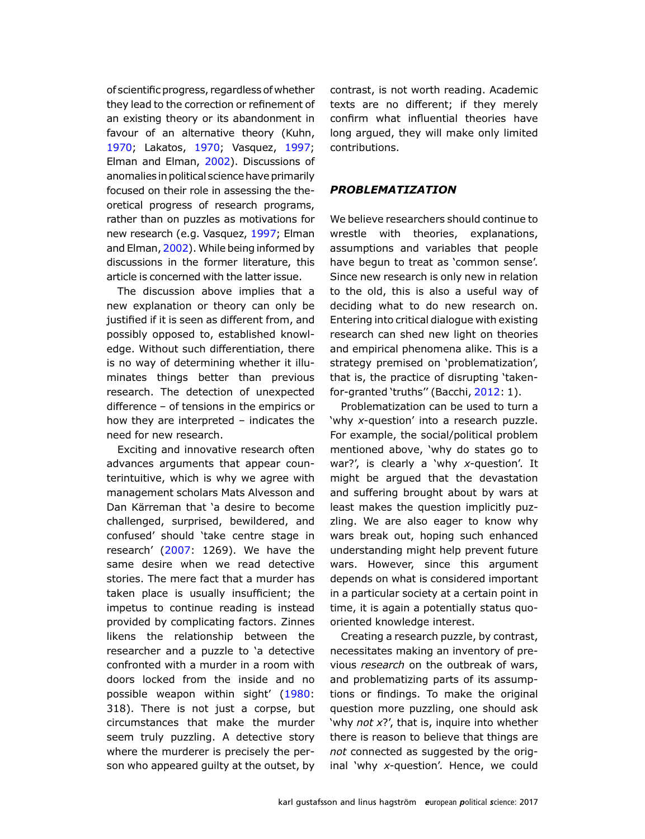of scientific progress, regardless of whether they lead to the correction or refinement of an existing theory or its abandonment in favour of an alternative theory (Kuhn, [1970;](#page-13-0) Lakatos, [1970](#page-13-0); Vasquez, [1997;](#page-13-0) Elman and Elman, [2002](#page-12-0)). Discussions of anomalies in political science have primarily focused on their role in assessing the theoretical progress of research programs, rather than on puzzles as motivations for new research (e.g. Vasquez, [1997](#page-13-0); Elman and Elman, [2002\)](#page-12-0). While being informed by discussions in the former literature, this article is concerned with the latter issue.

The discussion above implies that a new explanation or theory can only be justified if it is seen as different from, and possibly opposed to, established knowledge. Without such differentiation, there is no way of determining whether it illuminates things better than previous research. The detection of unexpected difference – of tensions in the empirics or how they are interpreted – indicates the need for new research.

Exciting and innovative research often advances arguments that appear counterintuitive, which is why we agree with management scholars Mats Alvesson and Dan Kärreman that 'a desire to become challenged, surprised, bewildered, and confused' should 'take centre stage in research' ([2007](#page-12-0): 1269). We have the same desire when we read detective stories. The mere fact that a murder has taken place is usually insufficient; the impetus to continue reading is instead provided by complicating factors. Zinnes likens the relationship between the researcher and a puzzle to 'a detective confronted with a murder in a room with doors locked from the inside and no possible weapon within sight' [\(1980:](#page-13-0) 318). There is not just a corpse, but circumstances that make the murder seem truly puzzling. A detective story where the murderer is precisely the person who appeared guilty at the outset, by

contrast, is not worth reading. Academic texts are no different; if they merely confirm what influential theories have long argued, they will make only limited contributions.

#### PROBLEMATIZATION

We believe researchers should continue to wrestle with theories, explanations, assumptions and variables that people have begun to treat as 'common sense'. Since new research is only new in relation to the old, this is also a useful way of deciding what to do new research on. Entering into critical dialogue with existing research can shed new light on theories and empirical phenomena alike. This is a strategy premised on 'problematization', that is, the practice of disrupting 'takenfor-granted 'truths'' (Bacchi, [2012:](#page-12-0) 1).

Problematization can be used to turn a 'why x-question' into a research puzzle. For example, the social/political problem mentioned above, 'why do states go to war?', is clearly a 'why  $x$ -question'. It might be argued that the devastation and suffering brought about by wars at least makes the question implicitly puzzling. We are also eager to know why wars break out, hoping such enhanced understanding might help prevent future wars. However, since this argument depends on what is considered important in a particular society at a certain point in time, it is again a potentially status quooriented knowledge interest.

Creating a research puzzle, by contrast, necessitates making an inventory of previous research on the outbreak of wars, and problematizing parts of its assumptions or findings. To make the original question more puzzling, one should ask 'why not  $x$ ?', that is, inquire into whether there is reason to believe that things are not connected as suggested by the original 'why x-question'. Hence, we could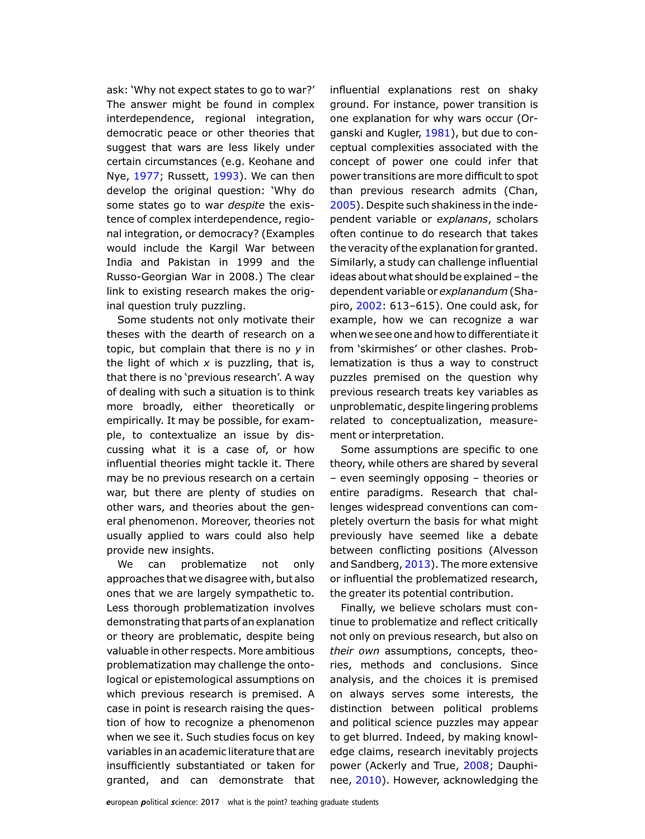ask: 'Why not expect states to go to war?' The answer might be found in complex interdependence, regional integration, democratic peace or other theories that suggest that wars are less likely under certain circumstances (e.g. Keohane and Nye, [1977](#page-13-0); Russett, [1993\)](#page-13-0). We can then develop the original question: 'Why do some states go to war *despite* the existence of complex interdependence, regional integration, or democracy? (Examples would include the Kargil War between India and Pakistan in 1999 and the Russo-Georgian War in 2008.) The clear link to existing research makes the original question truly puzzling.

Some students not only motivate their theses with the dearth of research on a topic, but complain that there is no  $y$  in the light of which  $x$  is puzzling, that is, that there is no 'previous research'. A way of dealing with such a situation is to think more broadly, either theoretically or empirically. It may be possible, for example, to contextualize an issue by discussing what it is a case of, or how influential theories might tackle it. There may be no previous research on a certain war, but there are plenty of studies on other wars, and theories about the general phenomenon. Moreover, theories not usually applied to wars could also help provide new insights.

We can problematize not only approaches that we disagree with, but also ones that we are largely sympathetic to. Less thorough problematization involves demonstrating that parts of an explanation or theory are problematic, despite being valuable in other respects. More ambitious problematization may challenge the ontological or epistemological assumptions on which previous research is premised. A case in point is research raising the question of how to recognize a phenomenon when we see it. Such studies focus on key variables in an academic literature that are insufficiently substantiated or taken for granted, and can demonstrate that

influential explanations rest on shaky ground. For instance, power transition is one explanation for why wars occur (Organski and Kugler, [1981\)](#page-13-0), but due to conceptual complexities associated with the concept of power one could infer that power transitions are more difficult to spot than previous research admits (Chan, [2005\)](#page-12-0). Despite such shakiness in the independent variable or explanans, scholars often continue to do research that takes the veracity of the explanation for granted. Similarly, a study can challenge influential ideas about what should be explained – the dependent variable or explanandum (Shapiro, [2002](#page-13-0): 613–615). One could ask, for example, how we can recognize a war when we see one and how to differentiate it from 'skirmishes' or other clashes. Problematization is thus a way to construct puzzles premised on the question why previous research treats key variables as unproblematic, despite lingering problems related to conceptualization, measurement or interpretation.

Some assumptions are specific to one theory, while others are shared by several – even seemingly opposing – theories or entire paradigms. Research that challenges widespread conventions can completely overturn the basis for what might previously have seemed like a debate between conflicting positions (Alvesson and Sandberg, [2013\)](#page-12-0). The more extensive or influential the problematized research, the greater its potential contribution.

Finally, we believe scholars must continue to problematize and reflect critically not only on previous research, but also on their own assumptions, concepts, theories, methods and conclusions. Since analysis, and the choices it is premised on always serves some interests, the distinction between political problems and political science puzzles may appear to get blurred. Indeed, by making knowledge claims, research inevitably projects power (Ackerly and True, [2008;](#page-12-0) Dauphinee, [2010](#page-12-0)). However, acknowledging the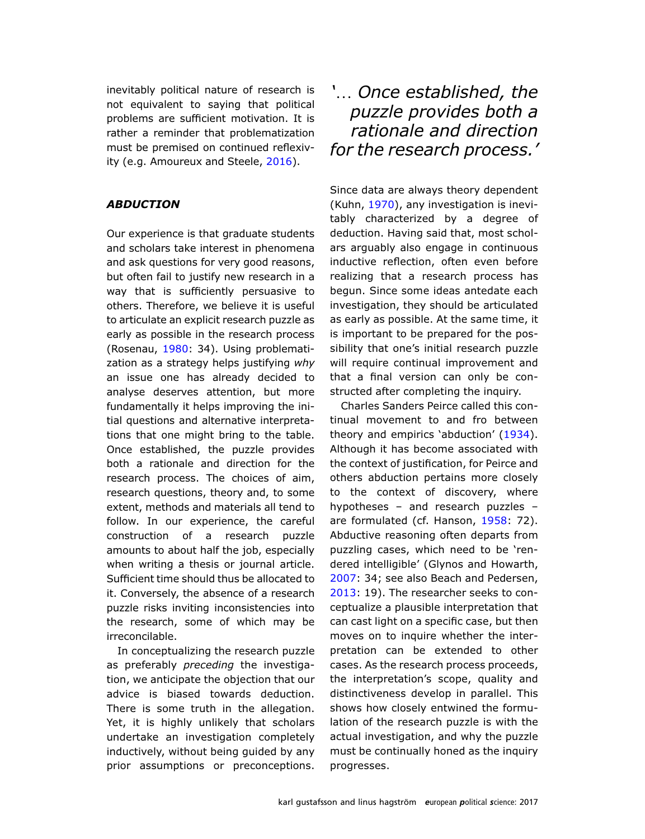inevitably political nature of research is not equivalent to saying that political problems are sufficient motivation. It is rather a reminder that problematization must be premised on continued reflexivity (e.g. Amoureux and Steele, [2016\)](#page-12-0).

### **ABDUCTION**

Our experience is that graduate students and scholars take interest in phenomena and ask questions for very good reasons, but often fail to justify new research in a way that is sufficiently persuasive to others. Therefore, we believe it is useful to articulate an explicit research puzzle as early as possible in the research process (Rosenau, [1980](#page-13-0): 34). Using problematization as a strategy helps justifying why an issue one has already decided to analyse deserves attention, but more fundamentally it helps improving the initial questions and alternative interpretations that one might bring to the table. Once established, the puzzle provides both a rationale and direction for the research process. The choices of aim, research questions, theory and, to some extent, methods and materials all tend to follow. In our experience, the careful construction of a research puzzle amounts to about half the job, especially when writing a thesis or journal article. Sufficient time should thus be allocated to it. Conversely, the absence of a research puzzle risks inviting inconsistencies into the research, some of which may be irreconcilable.

In conceptualizing the research puzzle as preferably preceding the investigation, we anticipate the objection that our advice is biased towards deduction. There is some truth in the allegation. Yet, it is highly unlikely that scholars undertake an investigation completely inductively, without being guided by any prior assumptions or preconceptions.

# '… Once established, the puzzle provides both a rationale and direction for the research process.'

Since data are always theory dependent (Kuhn, [1970\)](#page-13-0), any investigation is inevitably characterized by a degree of deduction. Having said that, most scholars arguably also engage in continuous inductive reflection, often even before realizing that a research process has begun. Since some ideas antedate each investigation, they should be articulated as early as possible. At the same time, it is important to be prepared for the possibility that one's initial research puzzle will require continual improvement and that a final version can only be constructed after completing the inquiry.

Charles Sanders Peirce called this continual movement to and fro between theory and empirics 'abduction' [\(1934](#page-13-0)). Although it has become associated with the context of justification, for Peirce and others abduction pertains more closely to the context of discovery, where hypotheses – and research puzzles – are formulated (cf. Hanson, [1958:](#page-13-0) 72). Abductive reasoning often departs from puzzling cases, which need to be 'rendered intelligible' (Glynos and Howarth, [2007](#page-12-0): 34; see also Beach and Pedersen, [2013](#page-12-0): 19). The researcher seeks to conceptualize a plausible interpretation that can cast light on a specific case, but then moves on to inquire whether the interpretation can be extended to other cases. As the research process proceeds, the interpretation's scope, quality and distinctiveness develop in parallel. This shows how closely entwined the formulation of the research puzzle is with the actual investigation, and why the puzzle must be continually honed as the inquiry progresses.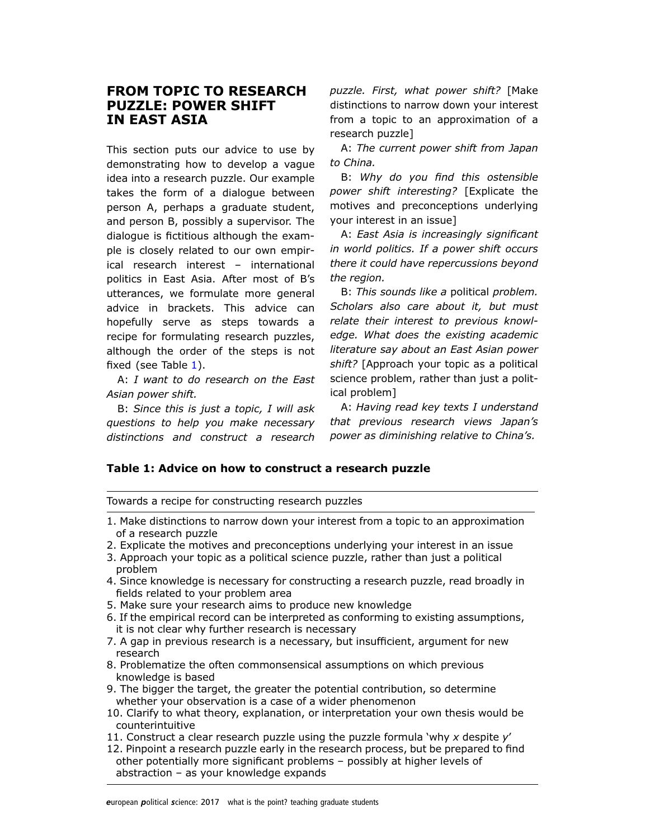### FROM TOPIC TO RESEARCH PUZZLE: POWER SHIFT IN EAST ASIA

This section puts our advice to use by demonstrating how to develop a vague idea into a research puzzle. Our example takes the form of a dialogue between person A, perhaps a graduate student, and person B, possibly a supervisor. The dialogue is fictitious although the example is closely related to our own empirical research interest – international politics in East Asia. After most of B's utterances, we formulate more general advice in brackets. This advice can hopefully serve as steps towards a recipe for formulating research puzzles, although the order of the steps is not fixed (see Table 1).

A: I want to do research on the East Asian power shift.

B: Since this is just a topic, I will ask questions to help you make necessary distinctions and construct a research puzzle. First, what power shift? [Make distinctions to narrow down your interest from a topic to an approximation of a research puzzle]

A: The current power shift from Japan to China.

B: Why do you find this ostensible power shift interesting? [Explicate the motives and preconceptions underlying your interest in an issue]

A: East Asia is increasingly significant in world politics. If a power shift occurs there it could have repercussions beyond the region.

B: This sounds like a political problem. Scholars also care about it, but must relate their interest to previous knowledge. What does the existing academic literature say about an East Asian power shift? [Approach your topic as a political science problem, rather than just a political problem]

A: Having read key texts I understand that previous research views Japan's power as diminishing relative to China's.

### Table 1: Advice on how to construct a research puzzle

Towards a recipe for constructing research puzzles

- 1. Make distinctions to narrow down your interest from a topic to an approximation of a research puzzle
- 2. Explicate the motives and preconceptions underlying your interest in an issue
- 3. Approach your topic as a political science puzzle, rather than just a political problem
- 4. Since knowledge is necessary for constructing a research puzzle, read broadly in fields related to your problem area
- 5. Make sure your research aims to produce new knowledge
- 6. If the empirical record can be interpreted as conforming to existing assumptions, it is not clear why further research is necessary
- 7. A gap in previous research is a necessary, but insufficient, argument for new research
- 8. Problematize the often commonsensical assumptions on which previous knowledge is based
- 9. The bigger the target, the greater the potential contribution, so determine whether your observation is a case of a wider phenomenon
- 10. Clarify to what theory, explanation, or interpretation your own thesis would be counterintuitive
- 11. Construct a clear research puzzle using the puzzle formula 'why  $x$  despite  $y'$
- 12. Pinpoint a research puzzle early in the research process, but be prepared to find other potentially more significant problems – possibly at higher levels of abstraction – as your knowledge expands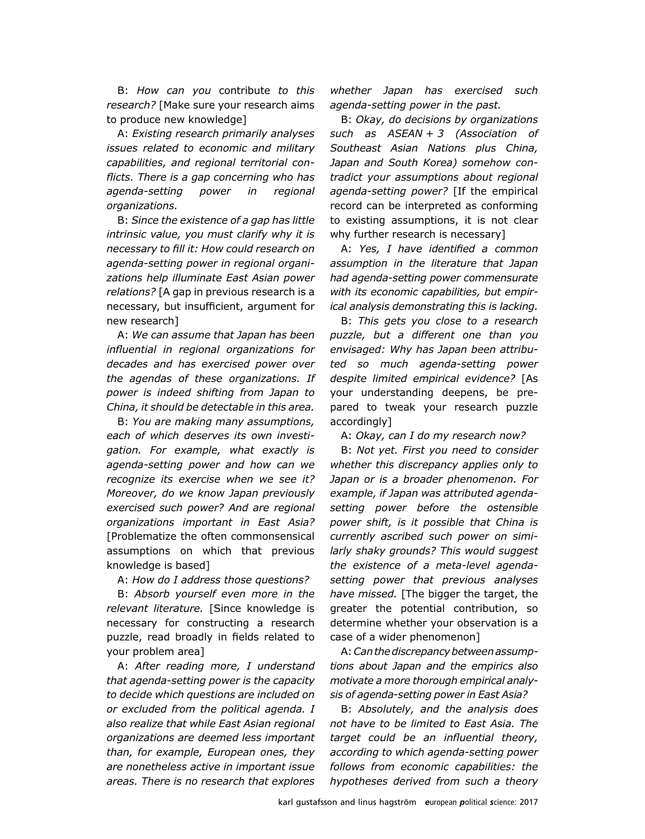B: How can you contribute to this research? [Make sure your research aims to produce new knowledge]

A: Existing research primarily analyses issues related to economic and military capabilities, and regional territorial conflicts. There is a gap concerning who has agenda-setting power in regional organizations.

B: Since the existence of a gap has little intrinsic value, you must clarify why it is necessary to fill it: How could research on agenda-setting power in regional organizations help illuminate East Asian power relations? [A gap in previous research is a necessary, but insufficient, argument for new research]

A: We can assume that Japan has been influential in regional organizations for decades and has exercised power over the agendas of these organizations. If power is indeed shifting from Japan to China, it should be detectable in this area.

B: You are making many assumptions, each of which deserves its own investigation. For example, what exactly is agenda-setting power and how can we recognize its exercise when we see it? Moreover, do we know Japan previously exercised such power? And are regional organizations important in East Asia? [Problematize the often commonsensical assumptions on which that previous knowledge is based]

A: How do I address those questions?

B: Absorb yourself even more in the relevant literature. [Since knowledge is necessary for constructing a research puzzle, read broadly in fields related to your problem area]

A: After reading more, I understand that agenda-setting power is the capacity to decide which questions are included on or excluded from the political agenda. I also realize that while East Asian regional organizations are deemed less important than, for example, European ones, they are nonetheless active in important issue areas. There is no research that explores

whether Japan has exercised such agenda-setting power in the past.

B: Okay, do decisions by organizations such as ASEAN + 3 (Association of Southeast Asian Nations plus China, Japan and South Korea) somehow contradict your assumptions about regional agenda-setting power? [If the empirical record can be interpreted as conforming to existing assumptions, it is not clear why further research is necessary]

A: Yes, I have identified a common assumption in the literature that Japan had agenda-setting power commensurate with its economic capabilities, but empirical analysis demonstrating this is lacking.

B: This gets you close to a research puzzle, but a different one than you envisaged: Why has Japan been attributed so much agenda-setting power despite limited empirical evidence? [As your understanding deepens, be prepared to tweak your research puzzle accordingly]

A: Okay, can I do my research now?

B: Not yet. First you need to consider whether this discrepancy applies only to Japan or is a broader phenomenon. For example, if Japan was attributed agendasetting power before the ostensible power shift, is it possible that China is currently ascribed such power on similarly shaky grounds? This would suggest the existence of a meta-level agendasetting power that previous analyses have missed. [The bigger the target, the greater the potential contribution, so determine whether your observation is a case of a wider phenomenon]

A:Can the discrepancy between assumptions about Japan and the empirics also motivate a more thorough empirical analysis of agenda-setting power in East Asia?

B: Absolutely, and the analysis does not have to be limited to East Asia. The target could be an influential theory, according to which agenda-setting power follows from economic capabilities: the hypotheses derived from such a theory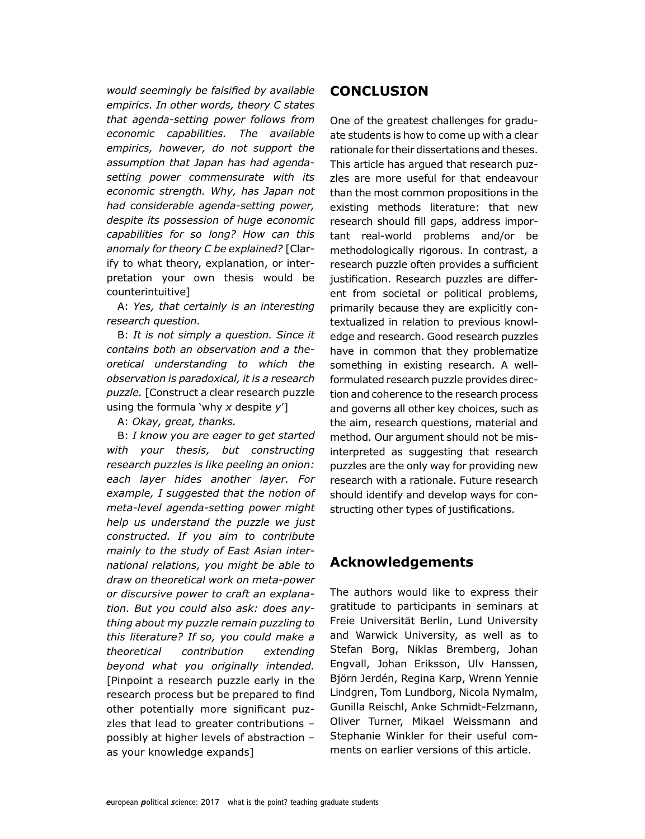would seemingly be falsified by available empirics. In other words, theory C states that agenda-setting power follows from economic capabilities. The available empirics, however, do not support the assumption that Japan has had agendasetting power commensurate with its economic strength. Why, has Japan not had considerable agenda-setting power, despite its possession of huge economic capabilities for so long? How can this anomaly for theory C be explained? [Clarify to what theory, explanation, or interpretation your own thesis would be counterintuitive]

A: Yes, that certainly is an interesting research question.

B: It is not simply a question. Since it contains both an observation and a theoretical understanding to which the observation is paradoxical, it is a research puzzle. [Construct a clear research puzzle using the formula 'why  $x$  despite  $y'$ ]

A: Okay, great, thanks.

B: I know you are eager to get started with your thesis, but constructing research puzzles is like peeling an onion: each layer hides another layer. For example, I suggested that the notion of meta-level agenda-setting power might help us understand the puzzle we just constructed. If you aim to contribute mainly to the study of East Asian international relations, you might be able to draw on theoretical work on meta-power or discursive power to craft an explanation. But you could also ask: does anything about my puzzle remain puzzling to this literature? If so, you could make a theoretical contribution extending beyond what you originally intended. [Pinpoint a research puzzle early in the research process but be prepared to find other potentially more significant puzzles that lead to greater contributions – possibly at higher levels of abstraction – as your knowledge expands]

## **CONCLUSION**

One of the greatest challenges for graduate students is how to come up with a clear rationale for their dissertations and theses. This article has argued that research puzzles are more useful for that endeavour than the most common propositions in the existing methods literature: that new research should fill gaps, address important real-world problems and/or be methodologically rigorous. In contrast, a research puzzle often provides a sufficient justification. Research puzzles are different from societal or political problems, primarily because they are explicitly contextualized in relation to previous knowledge and research. Good research puzzles have in common that they problematize something in existing research. A wellformulated research puzzle provides direction and coherence to the research process and governs all other key choices, such as the aim, research questions, material and method. Our argument should not be misinterpreted as suggesting that research puzzles are the only way for providing new research with a rationale. Future research should identify and develop ways for constructing other types of justifications.

## Acknowledgements

The authors would like to express their gratitude to participants in seminars at Freie Universität Berlin, Lund University and Warwick University, as well as to Stefan Borg, Niklas Bremberg, Johan Engvall, Johan Eriksson, Ulv Hanssen, Björn Jerdén, Regina Karp, Wrenn Yennie Lindgren, Tom Lundborg, Nicola Nymalm, Gunilla Reischl, Anke Schmidt-Felzmann, Oliver Turner, Mikael Weissmann and Stephanie Winkler for their useful comments on earlier versions of this article.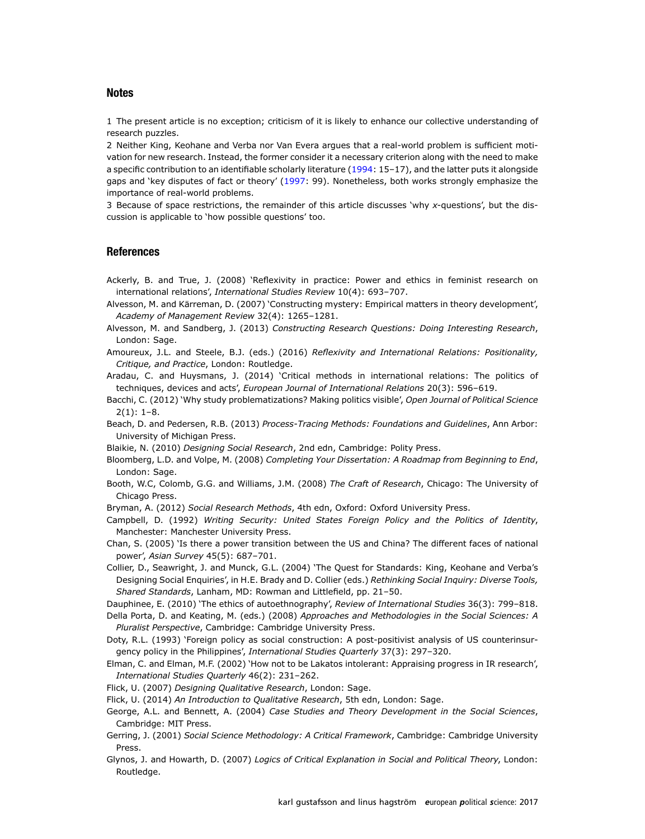#### <span id="page-12-0"></span>Notes

1 The present article is no exception; criticism of it is likely to enhance our collective understanding of research puzzles.

2 Neither King, Keohane and Verba nor Van Evera argues that a real-world problem is sufficient motivation for new research. Instead, the former consider it a necessary criterion along with the need to make a specific contribution to an identifiable scholarly literature [\(1994:](#page-13-0) 15–17), and the latter puts it alongside gaps and 'key disputes of fact or theory' ([1997:](#page-13-0) 99). Nonetheless, both works strongly emphasize the importance of real-world problems.

3 Because of space restrictions, the remainder of this article discusses 'why x-questions', but the discussion is applicable to 'how possible questions' too.

#### **References**

- Ackerly, B. and True, J. (2008) 'Reflexivity in practice: Power and ethics in feminist research on international relations', International Studies Review 10(4): 693–707.
- Alvesson, M. and Kärreman, D. (2007) 'Constructing mystery: Empirical matters in theory development', Academy of Management Review 32(4): 1265–1281.
- Alvesson, M. and Sandberg, J. (2013) Constructing Research Questions: Doing Interesting Research, London: Sage.

Amoureux, J.L. and Steele, B.J. (eds.) (2016) Reflexivity and International Relations: Positionality, Critique, and Practice, London: Routledge.

Aradau, C. and Huysmans, J. (2014) 'Critical methods in international relations: The politics of techniques, devices and acts', European Journal of International Relations 20(3): 596–619.

- Bacchi, C. (2012) 'Why study problematizations? Making politics visible', Open Journal of Political Science  $2(1): 1-8.$
- Beach, D. and Pedersen, R.B. (2013) Process-Tracing Methods: Foundations and Guidelines, Ann Arbor: University of Michigan Press.

Blaikie, N. (2010) Designing Social Research, 2nd edn, Cambridge: Polity Press.

- Bloomberg, L.D. and Volpe, M. (2008) Completing Your Dissertation: A Roadmap from Beginning to End, London: Sage.
- Booth, W.C, Colomb, G.G. and Williams, J.M. (2008) The Craft of Research, Chicago: The University of Chicago Press.
- Bryman, A. (2012) Social Research Methods, 4th edn, Oxford: Oxford University Press.
- Campbell, D. (1992) Writing Security: United States Foreign Policy and the Politics of Identity, Manchester: Manchester University Press.

Chan, S. (2005) 'Is there a power transition between the US and China? The different faces of national power', Asian Survey 45(5): 687–701.

Collier, D., Seawright, J. and Munck, G.L. (2004) 'The Quest for Standards: King, Keohane and Verba's Designing Social Enquiries', in H.E. Brady and D. Collier (eds.) Rethinking Social Inquiry: Diverse Tools, Shared Standards, Lanham, MD: Rowman and Littlefield, pp. 21–50.

Dauphinee, E. (2010) 'The ethics of autoethnography', Review of International Studies 36(3): 799–818.

- Della Porta, D. and Keating, M. (eds.) (2008) Approaches and Methodologies in the Social Sciences: A Pluralist Perspective, Cambridge: Cambridge University Press.
- Doty, R.L. (1993) 'Foreign policy as social construction: A post-positivist analysis of US counterinsurgency policy in the Philippines', International Studies Quarterly 37(3): 297–320.
- Elman, C. and Elman, M.F. (2002) 'How not to be Lakatos intolerant: Appraising progress in IR research', International Studies Quarterly 46(2): 231–262.
- Flick, U. (2007) Designing Qualitative Research, London: Sage.
- Flick, U. (2014) An Introduction to Qualitative Research, 5th edn, London: Sage.
- George, A.L. and Bennett, A. (2004) Case Studies and Theory Development in the Social Sciences, Cambridge: MIT Press.
- Gerring, J. (2001) Social Science Methodology: A Critical Framework, Cambridge: Cambridge University Press.
- Glynos, J. and Howarth, D. (2007) Logics of Critical Explanation in Social and Political Theory, London: Routledge.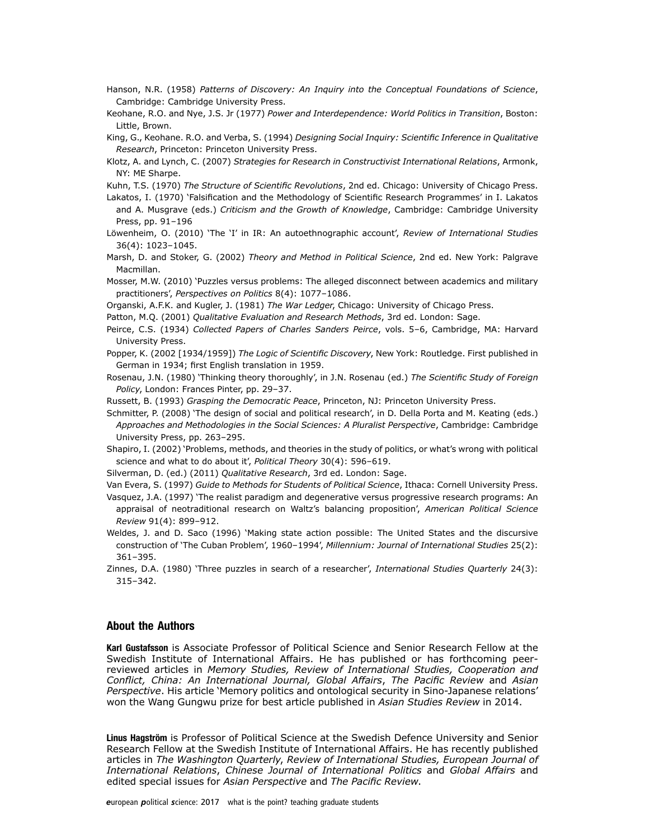- <span id="page-13-0"></span>Hanson, N.R. (1958) Patterns of Discovery: An Inquiry into the Conceptual Foundations of Science, Cambridge: Cambridge University Press.
- Keohane, R.O. and Nye, J.S. Jr (1977) Power and Interdependence: World Politics in Transition, Boston: Little, Brown.
- King, G., Keohane. R.O. and Verba, S. (1994) Designing Social Inquiry: Scientific Inference in Qualitative Research, Princeton: Princeton University Press.
- Klotz, A. and Lynch, C. (2007) Strategies for Research in Constructivist International Relations, Armonk, NY: ME Sharpe.
- Kuhn, T.S. (1970) The Structure of Scientific Revolutions, 2nd ed. Chicago: University of Chicago Press.
- Lakatos, I. (1970) 'Falsification and the Methodology of Scientific Research Programmes' in I. Lakatos and A. Musgrave (eds.) Criticism and the Growth of Knowledge, Cambridge: Cambridge University Press, pp. 91–196
- Löwenheim, O. (2010) 'The 'I' in IR: An autoethnographic account', Review of International Studies 36(4): 1023–1045.
- Marsh, D. and Stoker, G. (2002) Theory and Method in Political Science, 2nd ed. New York: Palgrave Macmillan.
- Mosser, M.W. (2010) 'Puzzles versus problems: The alleged disconnect between academics and military practitioners', Perspectives on Politics 8(4): 1077–1086.
- Organski, A.F.K. and Kugler, J. (1981) The War Ledger, Chicago: University of Chicago Press.
- Patton, M.Q. (2001) Qualitative Evaluation and Research Methods, 3rd ed. London: Sage.
- Peirce, C.S. (1934) Collected Papers of Charles Sanders Peirce, vols. 5–6, Cambridge, MA: Harvard University Press.
- Popper, K. (2002 [1934/1959]) The Logic of Scientific Discovery, New York: Routledge. First published in German in 1934; first English translation in 1959.
- Rosenau, J.N. (1980) 'Thinking theory thoroughly', in J.N. Rosenau (ed.) The Scientific Study of Foreign Policy, London: Frances Pinter, pp. 29–37.
- Russett, B. (1993) Grasping the Democratic Peace, Princeton, NJ: Princeton University Press.
- Schmitter, P. (2008) 'The design of social and political research', in D. Della Porta and M. Keating (eds.) Approaches and Methodologies in the Social Sciences: A Pluralist Perspective, Cambridge: Cambridge University Press, pp. 263–295.
- Shapiro, I. (2002) 'Problems, methods, and theories in the study of politics, or what's wrong with political science and what to do about it', Political Theory 30(4): 596-619.
- Silverman, D. (ed.) (2011) Qualitative Research, 3rd ed. London: Sage.
- Van Evera, S. (1997) Guide to Methods for Students of Political Science, Ithaca: Cornell University Press.
- Vasquez, J.A. (1997) 'The realist paradigm and degenerative versus progressive research programs: An appraisal of neotraditional research on Waltz's balancing proposition', American Political Science Review 91(4): 899–912.
- Weldes, J. and D. Saco (1996) 'Making state action possible: The United States and the discursive construction of 'The Cuban Problem', 1960-1994', Millennium: Journal of International Studies 25(2): 361–395.
- Zinnes, D.A. (1980) 'Three puzzles in search of a researcher', International Studies Quarterly 24(3): 315–342.

#### About the Authors

Karl Gustafsson is Associate Professor of Political Science and Senior Research Fellow at the Swedish Institute of International Affairs. He has published or has forthcoming peerreviewed articles in Memory Studies, Review of International Studies, Cooperation and Conflict, China: An International Journal, Global Affairs, The Pacific Review and Asian Perspective. His article 'Memory politics and ontological security in Sino-Japanese relations' won the Wang Gungwu prize for best article published in Asian Studies Review in 2014.

Linus Hagström is Professor of Political Science at the Swedish Defence University and Senior Research Fellow at the Swedish Institute of International Affairs. He has recently published articles in The Washington Quarterly, Review of International Studies, European Journal of International Relations, Chinese Journal of International Politics and Global Affairs and edited special issues for Asian Perspective and The Pacific Review.